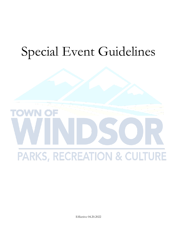# Special Event Guidelines



Effective 04.20.2022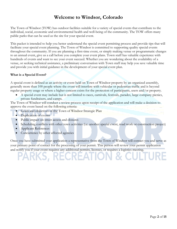# **Welcome to Windsor, Colorado**

The Town of Windsor (TOW) has outdoor facilities suitable for a variety of special events that contribute to the individual, social, economic and environmental health and well-being of the community. The TOW offers many public parks that can be used as the site for your special event.

This packet is intended to help you better understand the special event permitting process and provide tips that will facilitate your special event planning. The Town of Windsor is committed to supporting quality special events throughout the community. If you are planning a first-time event, or simply making venue or programmatic changes to an annual event, give us a call before you complete your event plans. Town staff has valuable experience with hundreds of events and want to see your event succeed. Whether you are wondering about the availability of a venue, or seeking technical assistance, a preliminary conversation with Town staff may help you save valuable time and provide you with initial guidance in the development of your special event plan.

#### **What is a Special Event?**

A special event is defined as an activity or event held on Town of Windsor property by an organized assembly, generally more than 100 people where the event will interfere with vehicular or pedestrian traffic and is beyond regular property usage or where a higher concern exists for the protection of participants, users and/or property.

• A special event may include but is not limited to races, carnivals, festivals, parades, large company picnics, private fundraisers, and camps.

The Town of Windsor will conduct a review process upon receipt of the application and will make a decision to approve the event based on the following criteria:

• Goals and objectives of the Town of Windsor Strategic Plan

PARKS, RECREATION

- Duplication of events
- Public impact on street access and closures
- Scheduling conflicts with other town activities (i.e. another special event, road work or construction project)
- Applicant References
- Concurrence by other affected agencies

Once you have submitted your application a representative from the Town of Windsor will contact you and serve as your primary point of contact for the processing of your permit. This person will review your permit application and notify you if your event requires any additional permits, licenses, or requires a logistics meeting.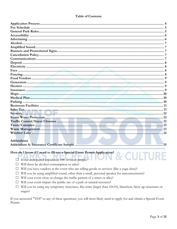#### **Table of Contents**

| Addendums                                                               |  |
|-------------------------------------------------------------------------|--|
|                                                                         |  |
|                                                                         |  |
| How do I know if I need to fill out a Special Event Permit Application? |  |
|                                                                         |  |
|                                                                         |  |

- $\Box$  Is the anticipated attendance 100 or more people?  $\Box$  Will there be alcohol consumption or sales?
- $\Box$  Will you have vendors at the event who are selling goods or services (like a yoga class)?
- □ Will you be using amplified sound, other than a small, personal speaker for announcements?
- $\Box$  Will your event close or change the traffic pattern of a street or alley?
- $\Box$  Will your event impact the public use of a park or natural resource?
- $\Box$  Will you be using any temporary structures, like tents (larger than 10x10), bleachers, blow up structures or stages?

If you answered "YES" to any of these questions, you will most likely need to apply for and obtain a Special Event Permit.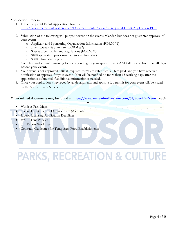#### **Application Process**

- 1. Fill out a Special Event Application, found at <https://www.recreationliveshere.com/DocumentCenter/View/323/Special-Event-Application-PDF>
- 2. Submission of the following will put your event on the events calendar, but does not guarantee approval of your event:
	- o Applicant and Sponsoring Organization Information (FORM #1)
	- o Event Details & Summary (FORM #2)
	- o Special Event Rules and Regulations (FORM #3)
	- o \$100 application processing fee (non-refundable)
	- o \$500 refundable deposit
- 3. Complete and submit remaining forms depending on your specific event AND all fees no later than **90 days before your event.**
- 4. Your event is not approved until all required forms are submitted, all fees paid, and you have received notification of approval for your event. You will be notified no more than 15 working days after the application is submitted if additional information is needed.
- 5. Once your application is reviewed by all departments and approved, a permit for your event will be issued by the Special Event Supervisor.

#### **Other related documents may be found at<https://www.recreationliveshere.com/31/Special-Events> , such**

**as:**

- Windsor Park Maps
- [Special Events Permit Questionnaire \(Alcohol\)](http://windsorgov.com/DocumentCenter/View/11820)
- [Liquor Licensing Application Deadlines](http://windsorgov.com/175/Liquor-Licensing)
- [WSFR Tent Policies](http://windsorgov.com/DocumentCenter/Home/View/3561)
- [Tax Report Worksheet](http://windsorgov.com/DocumentCenter/View/16407)
- [Colorado Guidelines for Temporary Food Establishments](http://www.windsorgov.com/DocumentCenter/View/9672)

# **PARKS, RECREATION & CULTURE**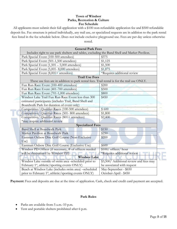#### **Town of Windsor Parks, Recreation & Culture Fee Schedule**

All applicants must submit their full application with a \$100 non-refundable application fee and \$500 refundable deposit fee. Fee structure is priced individually, any trail use, or specialized requests are in addition to the park rental fees listed in the fee schedule below. Does not include exclusive playground use. Fees are per day unless otherwise noted.

| <b>General Park Fees</b>                                                                      |                                         |
|-----------------------------------------------------------------------------------------------|-----------------------------------------|
| Includes right to use park shelters and tables, excluding the Band Shell and Market Pavilion. |                                         |
| Park Special Event (100-500 attendees)                                                        | \$375                                   |
| Park Special Event (501-1,500 attendees)                                                      | \$1,125                                 |
| Park Special Event $(1,501 - 5,000$ attendees)                                                | \$1,500                                 |
| Park Special Event (5,001-8,000 attendees)                                                    | \$1,875                                 |
| Park Special Event (8,001+ attendees)                                                         | *Requires additional review             |
| <b>Trail Use Fees</b>                                                                         |                                         |
| These use fees are in addition to park rental fees. Trail rental is for the trail use ONLY.   |                                         |
| Fun Run Race Event (100-400 attendees)                                                        | \$200                                   |
| Fun Run Race Event (401-700 attendees)                                                        | \$500                                   |
| Fun Run Race Event (701-1,000 attendees)                                                      | \$800                                   |
| Windsor Lake Trail Fun Run Race Event less than 300                                           | \$450                                   |
| estimated participants (includes Trail, Band Shell and                                        |                                         |
| Boardwalk Park for duration of event only)                                                    |                                         |
| Competitive/ Qualifier Races (100-500 attendees)                                              | \$600                                   |
| Competitive/ Qualifier Races (501-800 attendees)                                              | \$1,800                                 |
| Competitive/ Qualifier Races (801+ attendees)                                                 | \$2,400                                 |
| *may require additional review                                                                |                                         |
| <b>Specialized Fees</b>                                                                       |                                         |
| <b>Band Shell at Boardwalk Park</b>                                                           | \$150                                   |
| Market Pavilion at Boardwalk Park                                                             | \$250                                   |
| Eastman Oxbow Disc Golf Course (Non-Exclusive                                                 | \$200                                   |
| Use)                                                                                          |                                         |
| Eastman Oxbow Disc Golf Course (Exclusive Use)                                                | \$600                                   |
| Windsor PD Officer (if necessary, # of officers needed                                        | \$100/ officer/ hour                    |
| will be determined by Windsor PD)                                                             | *Requires additional review             |
| <b>Windsor Lake</b>                                                                           |                                         |
| Windsor Lake outside of swim area -scheduled prior to                                         | \$3,500/ Additional review and fees may |
| February 1 <sup>st</sup> , athletic/sporting events ONLY)                                     | be associated with request              |
| Beach at Windsor Lake (includes swim area) -scheduled                                         | May-September - \$650                   |
| prior to February 1 <sup>st</sup> , athletic/sporting events ONLY)                            | October-April - \$450                   |

Payment: Fees and deposits are due at the time of application. Cash, check and credit card payment are accepted.

#### **Park Rules**

- Parks are available from 5 a.m.-10 p.m.
- Tent and portable shelters prohibited after 6 p.m.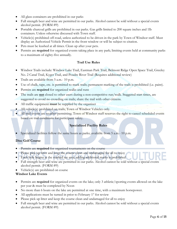- All glass containers are prohibited in our parks
- Full strength beer and wine are permitted in our parks. Alcohol cannot be sold without a special events alcohol permit. (FORM #9)
- Portable charcoal grills are prohibited in our parks. Gas grills limited to 200 square inches and 1lb containers. Unless otherwise discussed with Town staff.
- Vehicle(s) prohibited off-road, unless authorized to be driven in the park by Town of Windsor staff. Must display an Authorized Vehicle Permit in the front window or will be subject to citation.
- Pets must be leashed at all times. Clean up after your pets.
- Permits are **required** for organized events taking place in any park; limiting events held at community parks to a maximum of eighty-five annually.

# **Trail Use Rules**

- Windsor Trails include: Windsor Lake Trail, Eastman Park Trail, Belmont Ridge Open Space Trail, Greeley No. 2 Canal Trail, Kyger Trail, and Poudre River Trail (Requires additional review)
- Trails are available from 5 a.m.- 10 p.m.
- Use of chalk, tape, etc. is permitted to mark trails; permanent marking of the trails is prohibited (i.e. paint).
- Permits are **required** for organized walks and runs
- The trails are **not** closed to other users during a non-competitive run/walk. Staggered start times, are suggested to avoid no crowding on trails; share the trail with other citizens.
- All traffic equipment **must** be supplied by the organizer
- All vehicle(s) prohibited on trails; Town of Windsor Vehicles only.
- All trail events are weather permitting; Town of Windsor staff reserves the right to cancel scheduled events based on trail conditions for participant safety.

# **Specialized Facility Rules**

• Specialized facilities follow the same hours as parks; available from 5 a.m.- 10 p.m.

# **Disc Golf Course**

- Permits are **required** for organized tournaments on the course
- Please pick up litter and keep the course clean and undamaged for all to enjoy
- Each hole begins at the marked tee area; adding additional marks is prohibited
- Full strength beer and wine are permitted in our parks. Alcohol cannot be sold without a special events alcohol permit. (FORM #9)
- Vehicle(s) are prohibited on course

# **Windsor Lake Events**

- Permits are **required** for organized events on the lake; only 3 athletic/sporting events allowed on the lake per year & must be completed by Noon
- No more than 6 boats on the lake are permitted at one time, with a maximum horsepower.
- All applications must be turned in prior to February  $1<sup>st</sup>$  for review
- Please pick up litter and keep the course clean and undamaged for all to enjoy
- Full strength beer and wine are permitted in our parks. Alcohol cannot be sold without a special events alcohol permit. (FORM #9)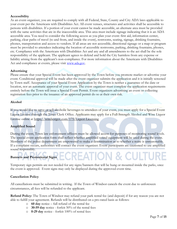#### **Accessibility**

As an event organizer, you are required to comply with all Federal, State, County and City ADA laws applicable to your event per the Americans with Disabilities Act. All event venues, structures and activities shall be accessible to persons with disabilities. If a portion of your event cannot be made accessible, an alternate area must be provided with the same activities that are in the inaccessible area. This area must include signage indicating that it is an ADA accessible area. You need to consider the following access as you plan your event: first aid, information center, parking, clear paths of travel (to and from, and inside the event), restrooms, seating, signage, drinking fountains, phones, transportation and access to vendors. If all areas are not accessible, directional signage or a map or program must be provided to attendees indicating the location of accessible restrooms, parking, drinking fountains, phones, etc. Compliance with the Americans with Disabilities Act and any and all amendments to the act shall be the sole responsibility of the applicant. The applicant agrees to defend and hold the City harmless from any expense or liability arising from the applicant's non-compliance. For more information about the Americans with Disabilities Act and compliance at events, please visit [www.ada.gov.](http://www.ada.gov/)

#### **Advertising**

Please ensure that your Special Event has been approved by the Town before you promote market or advertise your event. Conditional approval will be made after the event organizer submits the application and it is initially screened by Town staff. Acceptance of your Special Event Application by the Town is neither a guarantee of the date or location, nor an automatic approval of your event. The event organizer must complete the application requirements entirely before the Town will issue a Special Event Permit. Event organizers advertising an event or collecting registration fees prior to the issuance of an approved permit do so at their own risk.

#### **Alcohol**

If you would like to serve or sell alcoholic beverages to attendees of your event, you must apply for a Special Event Liquor License through the Town Clerk Office. Applicants may apply for a Full-Strength Alcohol and Wine Liquor License online at<https://windsorgov.com/175/Liquor-Licensing>

# **Amplified Sound**

During the event, Town law enforcement officers must be allowed access for purposes of monitoring sound levels. The special event application form shall reflect whether amplified sound equipment will be used during the event. Members of the police department are empowered to make a determination as to whether a noise is unreasonable. If a complaint occurs, authorities will contact the event organizer. Event participants are cautioned to use amplified sound responsibly.

**FCREATION & CUIT** 

# **Banners and Promotional Signs**

Temporary sign permits are not needed for any signs/banners that will be hung or mounted inside the parks, once the event is approved. Event signs may only be displayed during the approved event time.

# **Cancellation Policy**

All cancellations must be submitted in writing. If the Town of Windsor cancels the event due to unforeseen circumstances, all fees will be refunded to the applicant.

**Refund Policy:** The Town of Windsor may refund your park rental fee (and deposit) if for any reason you are not able to fulfill your agreement. Refunds will be distributed on a pro-rated basis as follows:

- o **60 day** notice full refund of the rental fee
- o **30-59 day** notice forfeit 50% of the rental fees
- o **0-29 day** notice forfeit 100% of rental fees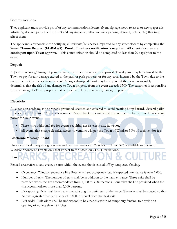# **Communications**

They applicant must provide proof of any communications, letters, flyers, signage, news releases or newspaper ads informing affected parties of the event and any impacts (traffic volumes, parking, detours, delays, etc.) that may affect them.

The applicant is responsible for notifying all residents/businesses impacted by any street closure by completing the **Street Closure Request (FORM #7)**. **Proof of business notification is required. All street closures are contingent upon Town approval.** This communication should be completed no less than 90 days prior to the event.

# **Deposit**

A \$500.00 security/damage deposit is due at the time of reservation approval. This deposit may be retained by the Town to pay for any damage caused to the park or park property or for any costs incurred by the Town due to the use of the park by the applicant's event. A larger damage deposit may be required if the Town reasonably determines that the risk of any damage to Town property from the event exceeds \$500. The customer is responsible for any damage to Town property that is not covered by the security/damage deposit.

#### **Electricity**

All extension cords must be properly grounded, secured and covered to avoid creating a trip hazard. Several parks have access to 110v and 220v power sources. Please check park maps and ensure that the facility has the necessary power for your event.

- There is no additional fee for events requiring access electricity, **however,**
- All events that charge electrical access to vendors will pay the Town of Windsor 50% of each vendor fee.

# **Electronic Message Board**

Use of electrical marquee sign on east and west entrances into Windsor on Hwy. 392 is available to Town of Windsor Sponsored Events only that impact traffic based on CDOT regulations.

# **Fencing**

Fenced area refers to any event, or area within the event, that is closed off by temporary fencing.

- Occupancy: Windsor Severance Fire Rescue will set occupancy load if expected attendance is over 1,000.
- Number of exits: The number of exits shall be in addition to the main entrance. Three exits shall be provided when the site accommodates from 1,000 to 3,000 persons. Four exits shall be provided when the site accommodates more than 3,000 persons.
- Exit spacing: Exits shall be equally spaced along the perimeter of the fence. The exits shall be spaced so that no exit is greater than a distance of 400 ft. of travel from the next exit.
- Exit width: Exit width shall be understood to be a panel's width of temporary fencing, to provide an opening of no less than 48 inches.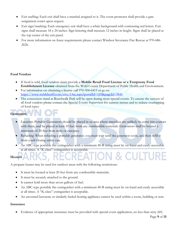- Exit staffing: Each exit shall have a marshal assigned to it. The event promoter shall provide a gate assignment roster upon request.
- Exit sign/marking: Each emergency exit shall have a white background with contrasting red letters. Exit signs shall measure 18 x 24 inches. Sign lettering shall measure 12 inches in height. Signs shall be placed at the top center of the exit panel.
- For more information on fence requirements please contact Windsor Severance Fire Rescue at 970-686- 2626.

# **Food Vendors**

- If food is sold, food vendors must provide a **Mobile Retail Food License or a Temporary Food Establishment License** obtained from the Weld County Department of Public Health and Environment.
- For information on obtaining a license call 970-304-6415 or go to: <https://www.weldsheriff.com/cms/One.aspx?portalId=169&pageId=3845>
- The concession stand at Boardwalk Park will be open during most special events. To ensure the success of all food vendors please contact the Special Events Supervisor for current menus and to reduce overlapping of food types.

# **Generators**

- Location: Portable Generators should be placed in an area where attendees are unlikely to come into contact with them, and be placed at least 10 feet from any combustible materials. Generators shall be located a minimum of 20 feet from tents or canopies.
- Refueling: When refueling a portable generator, you must wait until the generator cools, and then refill it from a self-closing safety can.
- An ABC-type portable fire extinguisher with a minimum 40-B rating must be on-hand and easily accessible at all times. A "K-class" extinguisher is acceptable.

#### **Heaters**

A propane heater may be used for outdoor areas with the following restrictions:

- It must be located at least 20 feet from any combustible materials;
- It must be securely attached to the ground.
- It cannot hold more than seven gallons of fuel.
- An ABC-type portable fire extinguisher with a minimum 40-B rating must be on-hand and easily accessible at all times. A "K-class" extinguisher is acceptable.
- An unvented kerosene or similarly fueled heating appliance cannot be used within a room, building or tent.

#### **Insurance**

• Evidence of appropriate insurance must be provided with special event application, no less than sixty (60)

**& CULTURE**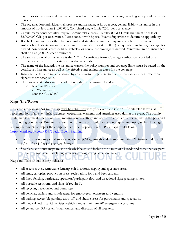days prior to the event and maintained throughout the duration of the event, including set-up and dismantle periods.

- The organization/individual shall procure and maintain, at its own cost, general liability insurance in the amount of not less than \$1,000,000, Combined Single Limit (CSL) per occurrence.
- Certain recreational activities require Commercial General Liability (CGL) Limits that must be at least \$2,000,000 CSL per occurrence. Please consult with Special Events Supervisor to determine applicability.
- If vehicles are used for other than nominal and standard commute purposes, a policy of Business Automobile Liability, on an insurance industry standard for (CA 00 01) or equivalent including coverage for owned, non-owned, leased or hired vehicles, or equivalent coverage is needed. Minimum limit of insurance shall be \$500,000 CSL per occurrence.
- The standard proof of insurance is the ACORD certificate form. Coverage verification provided on an insurance company's certificate form is also acceptable.
- The name of the insured, the insurance carrier, the policy number and coverage limits must be stated on the certificate of insurance as well as the effective and expiration dates for the coverage.
- Insurance certificates must be signed by an authorized representative of the insurance carrier. Electronic signatures are acceptable.
- The Town of Windsor must be added as additionally insured, listed as:
	- o Town of Windsor 301 Walnut Street Windsor, CO 80550

# **Maps (Site/Route)**

An event site plan and/or route map must be submitted with your event application. The site plan is a visual representation of all event infrastructures, operational elements and amenities used during the event. The activity route map is a visual description of all moving routes, activity and spectator's paths of an event within the park and surrounding boundaries. Primary site plans and route maps should be computer generated using scaled drawings and measurements to depict the components of the proposed event. Park maps available on [http://windsorgov.com/804/Special-Event-Planning.](http://windsorgov.com/804/Special-Event-Planning)

- Site plans, route maps and supporting drawings/diagrams should be submitted in PDF format and in an 8  $\frac{1}{2}$ " x 11" or 11" x 17" standard format.
- Site plans and route maps must be clearly labeled and include the names of all roads and areas that are part of the proposed event; including auxiliary parking and production areas.

# Maps and Plans should clearly indicate:

- All access routes, removable fencing, exit locations, staging and spectator areas.
- All tents, canopies, production areas, registration, food and beer gardens.
- All fixed fencing, barricades, spectator/participant flow and directional signage along routes.
- All portable restrooms and sinks (if required).
- All recycling receptacles and dumpsters.
- All vehicles, trailers and shuttle areas for employees, volunteers and vendors.
- All parking, accessible parking, drop-off, and shuttle areas for participants and spectators.
- All medical and first aid facilities/vehicles and a minimum 20' emergency access lane.
- All generators, PA system(s), announcer and direction of all speakers.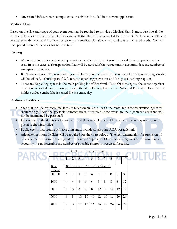• Any related infrastructure components or activities included in the event application.

# **Medical Plan**

Based on the size and scope of your event you may be required to provide a Medical Plan. It must describe all the types and locations of the medical facilities and staff that that will be provided for the event. Each event is unique in its size, type, duration, and location; therefore, your medical plan should respond to all anticipated needs. Contact the Special Events Supervisor for more details.

# **Parking**

- When planning your event, it is important to consider the impact your event will have on parking in the area. In some cases, a Transportation Plan will be needed if the venue cannot accommodate the number of anticipated attendees.
- If a Transportation Plan is required, you will be required to identify Town owned or private parking lots that will be utilized, a shuttle plan, ADA accessible parking provisions and/or special parking requests.
- There are 62 parking spaces in the main parking lot of Boardwalk Park. Of these spots, the event organizer must reserve six full boat parking spaces in the Main Parking Lot for the Parks and Recreation Boat Permit holders **unless** entire lake is rented for the entire day.

#### **Restroom Facilities**

- Sites that include restroom facilities are taken on an "as is" basis; the rental fee is for reservation rights to shelters only. Additional portable restroom units, if required at the event, are the organizer's costs and will not be maintained by park staff.
- Depending on the duration of your event and the availability of public restrooms, you may need to rent portable chemical toilets.
- Public events that require portable units must include at least one ADA portable unit.
- Adequate restroom facilities will be required per the chart below. The recommendation for provision of toilets is one restroom for each gender for every 200 persons. Once the existing facilities are taken into account you can determine the number of portable restrooms required for a site.

|                   |                     | $\overline{2}$ | $\overline{3}$      | $\overline{4}$ | Number of Hours for Event<br>5 | 6        | $\overline{7}$ | 8        | $\overline{9}$ | 10       | <b>TE</b> |
|-------------------|---------------------|----------------|---------------------|----------------|--------------------------------|----------|----------------|----------|----------------|----------|-----------|
| $\#$ of<br>People |                     |                |                     |                | # of Portable Restrooms Needed |          |                |          |                |          |           |
| 200-500           | $\overline{4}$      | 4              | $\overline{4}$      | 6              | 6                              | 6        | 8              | 8        | 8              | 8        |           |
| 1000              | $\overline{4}$<br>8 | 4<br>8         | $\overline{4}$<br>8 | 6<br>8         | 6<br>8                         | 6        | 8              | 8        | 8              | 12       |           |
| 2000<br>3000      | 8                   | 8              | 10                  | 10             | 10                             | 12<br>12 | 12<br>16       | 12<br>16 | 12<br>20       | 16<br>20 |           |
| 4000              | 8                   | 8              | 12                  | 12             | 16                             | 16       | 20             | 24       | 24             | 28       |           |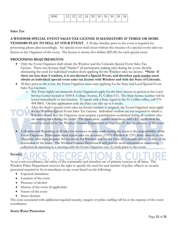| 5000 | $\sim$ | $\sim$ | 12 | 16 | $20 \mid 30$ . | 30 <sub>1</sub> | 30 | 30 | 34 |
|------|--------|--------|----|----|----------------|-----------------|----|----|----|
|      |        |        |    |    |                |                 |    |    |    |

#### **Sales Tax**

# **A WINDSOR SPECIAL EVENT SALES TAX LICENSE IS MANDATORY IF THREE OR MORE**

**VENDORS PLAN TO SELL AT YOUR EVENT**. A 30-day timeline prior to the event is required for processing; please plan accordingly. No special event shall occur without the issuance of a special events sales tax license to the Organizer of the event. The license is twenty-five dollars (\$25.00) for each special event.

#### **PROCESSING REQUIREMENTS:**

- Only the Event Organizer shall obtain the Windsor and the Colorado Special Event Sales Tax License. These two licenses shall "blanket" all participants making sales during the event, thereby eliminating the need for individual vendors from applying for the Windsor sales tax license. **\*Note: if there are less than 3 vendors, it is not deemed a Special Event, and therefore each vendor must obtain an individual special event sales tax license with Windsor and with the State of Colorado.**
- 30 days prior to the event, the Event Organizer must start applying for the State and Local Special Event Sales Tax Licenses.
	- o The Town highly recommends Event Organizers apply for the State license in-person at the Local Service Center located at 3030 S. College Avenue, Ft. Collins CO. The State license number will be issued immediately at this location. To speak with a State Agent in the Ft. Collins office, call 970- 494-9805. On-line application with the State can take up to 6 weeks.
	- o After the State's special event sales tax license number is assigned, the Event Organizer must apply for the Windsor Special Event Sales Tax License. Individual vendors are not required to obtain a Windsor license but the Organizer must prepare a participation worksheet listing all vendors who are making sales during the event. The application, vendor worksheet, and a \$25 application fee must be received by the Windsor Finance Department no less than 20 days in advance of the event.
- Collection and Reporting of all sales tax revenues on sales made during the event is the responsibility of the Event Organizer. Participants must report sales tax revenues (3.95% Windsor & 2.9% State) directly to the Organizer who then prepares the tax return for Windsor and for the State of Colorado within 15 days of the conclusion of the event. The Windsor Finance Department will provide more information concerning collection & reporting in a meeting with the Event Organizer one (1) week prior to the event.

#### **Security**

As an event coordinator, the safety of the community and attendees are of primary concern at all times. The Windsor Police Department reserves the right to specify the need for and number of police officers or security personnel required to be in attendance at any event based on the following:

- Expected attendance
- Location of the event
- Presence of alcohol
- History of the event (if applicable)
- Nature of the event
- Street closures

The costs associated with additional required security, rangers or police staffing will be at the expense of the event coordinator.

#### **Storm Water Protection**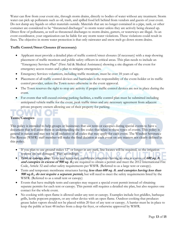Water can flow from your event site, through storm drains, directly to bodies of water without any treatment. Storm water can pick up pollutants such as oil, trash, and spilled food left behind from vendors and guests of your event. Do not dump any liquids or other materials outside. Materials that are no longer contained in a pipe, tank, or other container are considered to be "threatened discharges" to storm water unless they are actively being cleaned up. Direct flow of pollutants, as well as threatened discharges to storm drains, gutters, or waterways are illegal. As an event coordinator, your organization can be liable for any storm water violations. These violations could result in fines. The objective in storm water protection is that only rainwater and snow melt go down storm drains.

# **Traffic Control/Street Closures (if necessary)**

- Applicant must provide a detailed plan of traffic control/street closures (if necessary) with a map showing placement of traffic monitors and public safety officers in critical areas. This plan needs to include an "Emergency Services Plan" (First Aid & Medical Assistance) showing a site diagram of the event for emergency access routes and a plan to mitigate emergencies.
- Emergency Services volunteers, including traffic monitors, must be over 18 years of age.
- Placement of all traffic control devices and barricades is the responsibility of the event-holder or its traffic control provider, unless the Town notes otherwise in the event approval.
- The Town reserves the right to stop any activity if proper traffic control devices are not in place during the event.
- For events that will exceed existing parking facilities, a traffic control plan must be submitted including anticipated vehicle traffic for the event, peak traffic times and any necessary agreement from adjacent private property owners allowing use of their property for parking.

# **Tents/Canopies**

This policy is intended to help groups or businesses that use tents or canopies during special events to have a document that will assist them in understanding the fire codes that relate to these types of events. This policy is general in nature and may not be all inclusive of all codes that may apply for each event. The Windsor Severance Fire Rescue (WSFR) staff member will make the final decision at each event on any matters not clearly defined in this policy.

- If you plan to use ground stakes 12" or longer in any park, line locates will be required, so the irrigation systems are not damaged. Plan accordingly.
- **Tent or canopy size:** Tents and temporary membrane structures having an area in excess of **600 sq. ft. and canopies in excess of 900 sq. ft.;** are required to obtain a permit and meet the 2012 International Fire Code, Article 32 and other safety requirements per WSFR. (Referred to as a large tent or canopy).
- Tents and temporary membrane structures having **less than 600 sq. ft. and canopies having less than 900 sq.ft., do not require a separate permit,** but will need to meet the safety requirements listed by the WSFR. (Referred to as a small tent or canopy)
- Events that have multiple tents and canopies may request a special event permit instead of obtaining separate permits for each tent or canopy. This permit still requires a detailed site plan, but also requires one contact for the whole event.
- No cooking with open flame is allowed under any tent or canopy. Examples include hot griddles, barbeque grills, kettle popcorn poppers, or any other device with an open flame. Outdoor cooking that produces grease laden vapors should not be placed within 20 feet of any tent or canopy. A barrier must be in place to keep the public at least 48 inches from a deep-fat fryer, or otherwise approved by WSFR.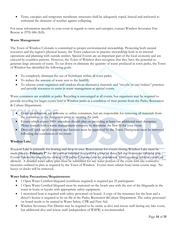• Tents, canopies and temporary membrane structures shall be adequately roped, braced and anchored to withstand the elements of weather against collapsing.

For more information specific to your event in regards to tents and canopies, contact Windsor Severance Fire Rescue at (970) 686-2626.

# **Waste Management**

The Town of Windsor Colorado is committed to proper environmental stewardship. Protecting both natural resources and the region's physical beauty, the Town endeavors to practice stewardship both in its internal operations and planning with outside entities. Special Events are an important part of the local economy and are enjoyed by countless patrons. However, the Town of Windsor does recognize that they have the potential to generate large amounts of waste. To cut down or eliminate the quantity of waste produced in town parks, the Town of Windsor has identified the following goals:

- To completely eliminate the use of Styrofoam within all town parks;
- To reduce the amount of waste sent to the landfill;
- To educate event organizers and vendors about alternative materials and "recycle/re-use/reduce" practices and provide resources to assist in waste management at special events.

Waste containers are available at parks. Recycling is encouraged at all events, but organizers may be required to provide recycling for larger events held in Windsor parks as a condition of their permit from the Parks, Recreation & Culture Department.

- Event coordinators are welcome to utilize containers, but are responsible for removing all materials from the containers to the dumpsters prior to vacating the park.
- Events which expect 300+ attendees should plan on providing at least one additional trash dumpster. Please consult with a waste management company to determine the best fit for your event.
- Drop-off/pick up of dumpster and location must be approved by the Town. Dumpsters must be removed following the conclusion of the event.

# **Windsor Lake**

Windsor Lake is primarily for boating and drop-in uses. Reservations for events closing Windsor Lake must be made prior to **February 1st** for the current calendar year and for a total of three full day events per calendar year. Events that do not require the closing of Windsor Lake may also be considered. Only sporting/athletic events are allowed. A detailed water safety plan must be submitted for any water portion of the event with any corrective measures outlined in plan as required by the Town of Windsor. Events must submit boat/swim course map. No buoys or docks will be removed.

# **Water Safety Precautions/Requirements:**

- 1 Open Water Certified lifeguard (certificate required) is required per 25 participants.
- 1 Open Water Certified lifeguard must be stationed on the beach area with the rest of the lifeguards in the water in boats or kayaks with appropriate safety equipment.
- 1 motorized boat is required with safety personnel on board. A copy of the insurance for the boat and a driver's license is required to be on file at the Parks, Recreation &Culture Department. The safety personnel on board needs to be trained in Water Safety, CPR and First Aid.
- Windsor Severance Fire District may be required to be onsite as dive and rescue staff during any lake event, but additional dive and rescue staff (independent of WSFR) is recommended.